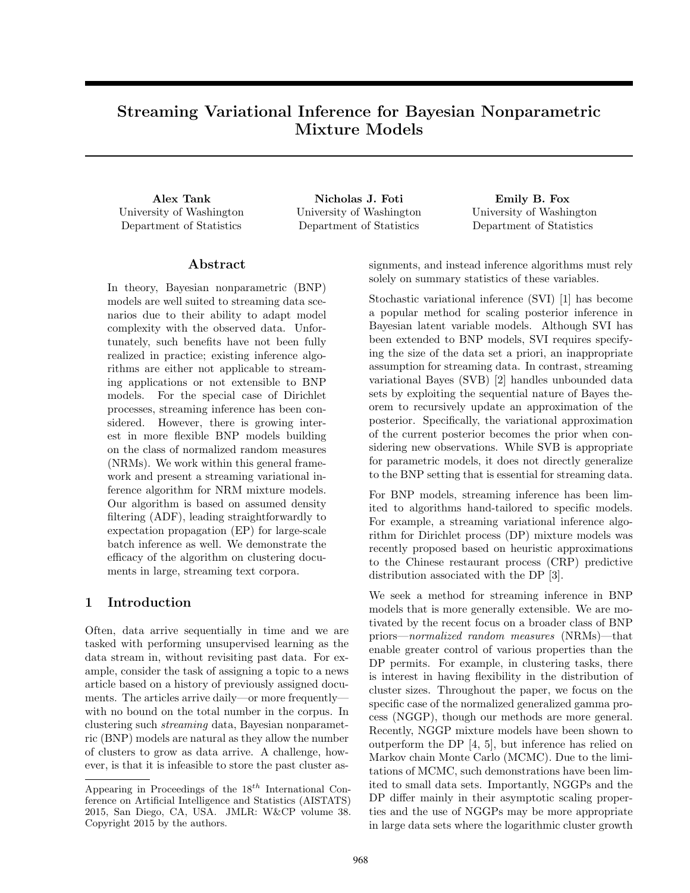# Streaming Variational Inference for Bayesian Nonparametric Mixture Models

University of Washington Department of Statistics

Alex Tank Nicholas J. Foti Emily B. Fox University of Washington Department of Statistics

University of Washington Department of Statistics

# Abstract

In theory, Bayesian nonparametric (BNP) models are well suited to streaming data scenarios due to their ability to adapt model complexity with the observed data. Unfortunately, such benefits have not been fully realized in practice; existing inference algorithms are either not applicable to streaming applications or not extensible to BNP models. For the special case of Dirichlet processes, streaming inference has been considered. However, there is growing interest in more flexible BNP models building on the class of normalized random measures (NRMs). We work within this general framework and present a streaming variational inference algorithm for NRM mixture models. Our algorithm is based on assumed density filtering (ADF), leading straightforwardly to expectation propagation (EP) for large-scale batch inference as well. We demonstrate the efficacy of the algorithm on clustering documents in large, streaming text corpora.

# 1 Introduction

Often, data arrive sequentially in time and we are tasked with performing unsupervised learning as the data stream in, without revisiting past data. For example, consider the task of assigning a topic to a news article based on a history of previously assigned documents. The articles arrive daily—or more frequently with no bound on the total number in the corpus. In clustering such streaming data, Bayesian nonparametric (BNP) models are natural as they allow the number of clusters to grow as data arrive. A challenge, however, is that it is infeasible to store the past cluster assignments, and instead inference algorithms must rely solely on summary statistics of these variables.

Stochastic variational inference (SVI) [1] has become a popular method for scaling posterior inference in Bayesian latent variable models. Although SVI has been extended to BNP models, SVI requires specifying the size of the data set a priori, an inappropriate assumption for streaming data. In contrast, streaming variational Bayes (SVB) [2] handles unbounded data sets by exploiting the sequential nature of Bayes theorem to recursively update an approximation of the posterior. Specifically, the variational approximation of the current posterior becomes the prior when considering new observations. While SVB is appropriate for parametric models, it does not directly generalize to the BNP setting that is essential for streaming data.

For BNP models, streaming inference has been limited to algorithms hand-tailored to specific models. For example, a streaming variational inference algorithm for Dirichlet process (DP) mixture models was recently proposed based on heuristic approximations to the Chinese restaurant process (CRP) predictive distribution associated with the DP [3].

We seek a method for streaming inference in BNP models that is more generally extensible. We are motivated by the recent focus on a broader class of BNP priors—normalized random measures (NRMs)—that enable greater control of various properties than the DP permits. For example, in clustering tasks, there is interest in having flexibility in the distribution of cluster sizes. Throughout the paper, we focus on the specific case of the normalized generalized gamma process (NGGP), though our methods are more general. Recently, NGGP mixture models have been shown to outperform the DP [4, 5], but inference has relied on Markov chain Monte Carlo (MCMC). Due to the limitations of MCMC, such demonstrations have been limited to small data sets. Importantly, NGGPs and the DP differ mainly in their asymptotic scaling properties and the use of NGGPs may be more appropriate in large data sets where the logarithmic cluster growth

Appearing in Proceedings of the  $18^{th}$  International Conference on Artificial Intelligence and Statistics (AISTATS) 2015, San Diego, CA, USA. JMLR: W&CP volume 38. Copyright 2015 by the authors.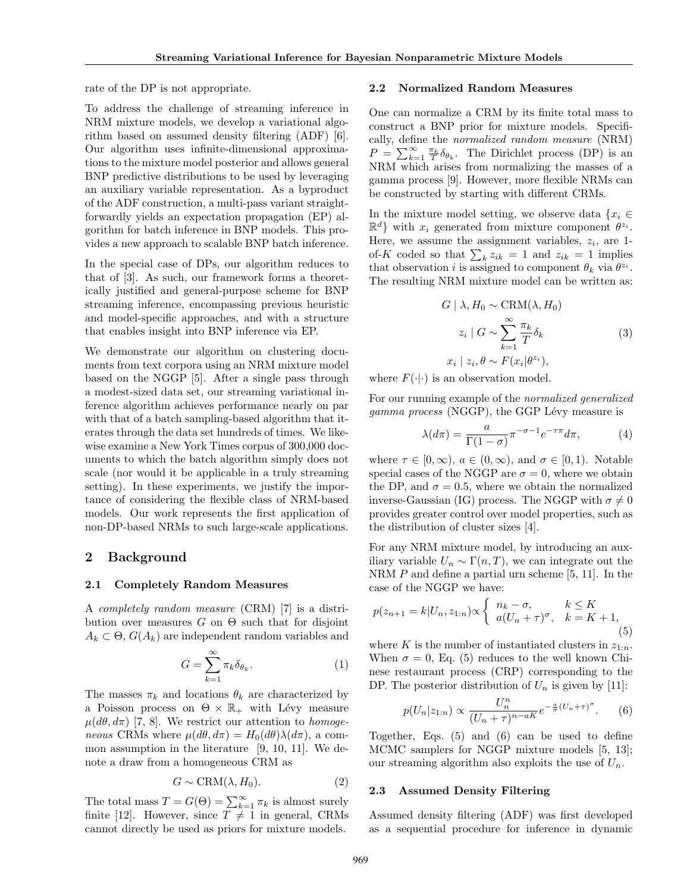rate of the DP is not appropriate.

To address the challenge of streaming inference in NRM mixture models, we develop a variational algorithm based on assumed density filtering (ADF) [6]. Our algorithm uses infinite-dimensional approximations to the mixture model posterior and allows general BNP predictive distributions to be used by leveraging an auxiliary variable representation. As a byproduct of the ADF construction, a multi-pass variant straightforwardly yields an expectation propagation (EP) algorithm for batch inference in BNP models. This provides a new approach to scalable BNP batch inference.

In the special case of DPs, our algorithm reduces to that of [3]. As such, our framework forms a theoretically justified and general-purpose scheme for BNP streaming inference, encompassing previous heuristic and model-specific approaches, and with a structure that enables insight into BNP inference via EP.

We demonstrate our algorithm on clustering documents from text corpora using an NRM mixture model based on the NGGP [5]. After a single pass through a modest-sized data set, our streaming variational inference algorithm achieves performance nearly on par with that of a batch sampling-based algorithm that iterates through the data set hundreds of times. We likewise examine a New York Times corpus of 300,000 documents to which the batch algorithm simply does not scale (nor would it be applicable in a truly streaming setting). In these experiments, we justify the importance of considering the flexible class of NRM-based models. Our work represents the first application of non-DP-based NRMs to such large-scale applications.

# 2 Background

# 2.1 Completely Random Measures

A completely random measure (CRM) [7] is a distribution over measures  $G$  on  $\Theta$  such that for disjoint  $A_k \subset \Theta$ ,  $G(A_k)$  are independent random variables and

$$
G = \sum_{k=1}^{\infty} \pi_k \delta_{\theta_k}.
$$
 (1)

The masses  $\pi_k$  and locations  $\theta_k$  are characterized by a Poisson process on  $\Theta \times \mathbb{R}_+$  with Lévy measure  $\mu(d\theta, d\pi)$  [7, 8]. We restrict our attention to *homogeneous* CRMs where  $\mu(d\theta, d\pi) = H_0(d\theta)\lambda(d\pi)$ , a common assumption in the literature [9, 10, 11]. We denote a draw from a homogeneous CRM as

$$
G \sim \text{CRM}(\lambda, H_0). \tag{2}
$$

The total mass  $T = G(\Theta) = \sum_{k=1}^{\infty} \pi_k$  is almost surely finite [12]. However, since  $T \neq 1$  in general, CRMs cannot directly be used as priors for mixture models.

### 2.2 Normalized Random Measures

One can normalize a CRM by its finite total mass to construct a BNP prior for mixture models. Specifically, define the normalized random measure (NRM)  $P = \sum_{k=1}^{\infty} \frac{\pi_k}{T} \delta_{\theta_k}$ . The Dirichlet process (DP) is an NRM which arises from normalizing the masses of a gamma process [9]. However, more flexible NRMs can be constructed by starting with different CRMs.

In the mixture model setting, we observe data  $\{x_i \in$  $\mathbb{R}^d$  with  $x_i$  generated from mixture component  $\theta^{z_i}$ . Here, we assume the assignment variables,  $z_i$ , are 1of-K coded so that  $\sum_k z_{ik} = 1$  and  $z_{ik} = 1$  implies that observation *i* is assigned to component  $\theta_k$  via  $\theta^{z_i}$ . The resulting NRM mixture model can be written as:

$$
G \mid \lambda, H_0 \sim \text{CRM}(\lambda, H_0)
$$
  

$$
z_i \mid G \sim \sum_{k=1}^{\infty} \frac{\pi_k}{T} \delta_k
$$
  

$$
x_i \mid z_i, \theta \sim F(x_i | \theta^{z_i}),
$$
 (3)

where  $F(\cdot|\cdot)$  is an observation model.

For our running example of the normalized generalized *gamma process* (NGGP), the GGP Lévy measure is

$$
\lambda(d\pi) = \frac{a}{\Gamma(1-\sigma)} \pi^{-\sigma-1} e^{-\tau \pi} d\pi, \tag{4}
$$

where  $\tau \in [0, \infty)$ ,  $a \in (0, \infty)$ , and  $\sigma \in [0, 1)$ . Notable special cases of the NGGP are  $\sigma = 0$ , where we obtain the DP, and  $\sigma = 0.5$ , where we obtain the normalized inverse-Gaussian (IG) process. The NGGP with  $\sigma \neq 0$ provides greater control over model properties, such as the distribution of cluster sizes [4].

For any NRM mixture model, by introducing an auxiliary variable  $U_n \sim \Gamma(n,T)$ , we can integrate out the NRM  $P$  and define a partial urn scheme [5, 11]. In the case of the NGGP we have:

$$
p(z_{n+1} = k | U_n, z_{1:n}) \propto \begin{cases} n_k - \sigma, & k \le K \\ a(U_n + \tau)^{\sigma}, & k = K + 1, \end{cases}
$$
(5)

where K is the number of instantiated clusters in  $z_{1:n}$ . When  $\sigma = 0$ , Eq. (5) reduces to the well known Chinese restaurant process (CRP) corresponding to the DP. The posterior distribution of  $U_n$  is given by [11]:

$$
p(U_n|z_{1:n}) \propto \frac{U_n^n}{(U_n+\tau)^{n-aK}} e^{-\frac{a}{\sigma}(U_n+\tau)^{\sigma}}.
$$
 (6)

Together, Eqs. (5) and (6) can be used to define MCMC samplers for NGGP mixture models [5, 13]; our streaming algorithm also exploits the use of  $U_n$ .

#### 2.3 Assumed Density Filtering

Assumed density filtering (ADF) was first developed as a sequential procedure for inference in dynamic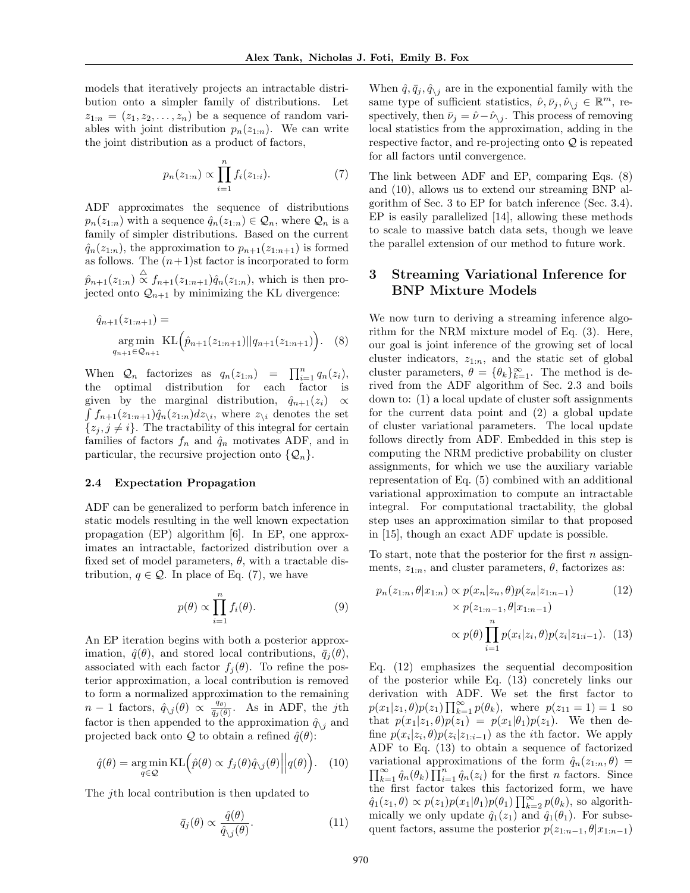models that iteratively projects an intractable distribution onto a simpler family of distributions. Let  $z_{1:n} = (z_1, z_2, \ldots, z_n)$  be a sequence of random variables with joint distribution  $p_n(z_{1:n})$ . We can write the joint distribution as a product of factors,

$$
p_n(z_{1:n}) \propto \prod_{i=1}^n f_i(z_{1:i}).
$$
 (7)

ADF approximates the sequence of distributions  $p_n(z_{1:n})$  with a sequence  $\hat{q}_n(z_{1:n}) \in \mathcal{Q}_n$ , where  $\mathcal{Q}_n$  is a family of simpler distributions. Based on the current  $\hat{q}_n(z_{1:n})$ , the approximation to  $p_{n+1}(z_{1:n+1})$  is formed as follows. The  $(n+1)$ st factor is incorporated to form  $\hat{p}_{n+1}(z_{1:n}) \overset{\triangle}{\propto} f_{n+1}(z_{1:n+1})\hat{q}_n(z_{1:n}),$  which is then projected onto  $\mathcal{Q}_{n+1}$  by minimizing the KL divergence:

$$
\hat{q}_{n+1}(z_{1:n+1}) = \underset{q_{n+1} \in \mathcal{Q}_{n+1}}{\arg \min} \text{KL}\left(\hat{p}_{n+1}(z_{1:n+1})||q_{n+1}(z_{1:n+1})\right). \quad (8)
$$

When  $Q_n$  factorizes as  $q_n(z_{1:n}) = \prod_{i=1}^n q_n(z_i)$ , the optimal distribution for each factor is given by the marginal distribution,  $\hat{q}_{n+1}(z_i) \propto$  $\int f_{n+1}(z_{1:n+1})\hat{q}_n(z_{1:n})dz_{\setminus i}$ , where  $z_{\setminus i}$  denotes the set  $\{z_j, j \neq i\}$ . The tractability of this integral for certain families of factors  $f_n$  and  $\hat{q}_n$  motivates ADF, and in particular, the recursive projection onto  $\{Q_n\}.$ 

### 2.4 Expectation Propagation

ADF can be generalized to perform batch inference in static models resulting in the well known expectation propagation (EP) algorithm [6]. In EP, one approximates an intractable, factorized distribution over a fixed set of model parameters,  $\theta$ , with a tractable distribution,  $q \in \mathcal{Q}$ . In place of Eq. (7), we have

$$
p(\theta) \propto \prod_{i=1}^{n} f_i(\theta). \tag{9}
$$

An EP iteration begins with both a posterior approximation,  $\hat{q}(\theta)$ , and stored local contributions,  $\bar{q}_i(\theta)$ , associated with each factor  $f_i(\theta)$ . To refine the posterior approximation, a local contribution is removed to form a normalized approximation to the remaining  $n-1$  factors,  $\hat{q}_{\setminus j}(\theta) \propto \frac{q_{\theta j}}{\bar{q}_i(\theta)}$  $\frac{q_{\theta\theta}}{\bar{q}_j(\theta)}$ . As in ADF, the jth factor is then appended to the approximation  $\hat{q}_{\lambda i}$  and projected back onto Q to obtain a refined  $\hat{q}(\theta)$ :

$$
\hat{q}(\theta) = \underset{q \in \mathcal{Q}}{\arg \min} \, \text{KL}\Big(\hat{p}(\theta) \propto f_j(\theta)\hat{q}_{\setminus j}(\theta) \Big| \Big| q(\theta)\Big). \quad (10)
$$

The jth local contribution is then updated to

$$
\bar{q}_j(\theta) \propto \frac{\hat{q}(\theta)}{\hat{q}_{\setminus j}(\theta)}.\tag{11}
$$

When  $\hat{q}, \bar{q}_j, \hat{q}_{\setminus j}$  are in the exponential family with the same type of sufficient statistics,  $\hat{\nu}, \bar{\nu}_j, \hat{\nu}_{\setminus j} \in \mathbb{R}^m$ , respectively, then  $\bar{\nu}_j = \hat{\nu} - \hat{\nu}_{\backslash j}$ . This process of removing local statistics from the approximation, adding in the respective factor, and re-projecting onto  $Q$  is repeated for all factors until convergence.

The link between ADF and EP, comparing Eqs. (8) and (10), allows us to extend our streaming BNP algorithm of Sec. 3 to EP for batch inference (Sec. 3.4). EP is easily parallelized [14], allowing these methods to scale to massive batch data sets, though we leave the parallel extension of our method to future work.

# 3 Streaming Variational Inference for BNP Mixture Models

We now turn to deriving a streaming inference algorithm for the NRM mixture model of Eq. (3). Here, our goal is joint inference of the growing set of local cluster indicators,  $z_{1:n}$ , and the static set of global cluster parameters,  $\theta = {\theta_k}_{k=1}^{\infty}$ . The method is derived from the ADF algorithm of Sec. 2.3 and boils down to: (1) a local update of cluster soft assignments for the current data point and (2) a global update of cluster variational parameters. The local update follows directly from ADF. Embedded in this step is computing the NRM predictive probability on cluster assignments, for which we use the auxiliary variable representation of Eq. (5) combined with an additional variational approximation to compute an intractable integral. For computational tractability, the global step uses an approximation similar to that proposed in [15], though an exact ADF update is possible.

To start, note that the posterior for the first  $n$  assignments,  $z_{1:n}$ , and cluster parameters,  $\theta$ , factorizes as:

$$
p_n(z_{1:n}, \theta | x_{1:n}) \propto p(x_n | z_n, \theta) p(z_n | z_{1:n-1}) \times p(z_{1:n-1}, \theta | x_{1:n-1})
$$
\n
$$
\propto p(\theta) \prod_{i=1}^n p(x_i | z_i, \theta) p(z_i | z_{1:i-1}). \quad (13)
$$

Eq. (12) emphasizes the sequential decomposition of the posterior while Eq. (13) concretely links our derivation with ADF. We set the first factor to  $p(x_1|z_1, \theta)p(z_1)\prod_{k=1}^{\infty}p(\theta_k)$ , where  $p(z_{11} = 1) = 1$  so that  $p(x_1|z_1, \theta)p(z_1) = p(x_1|\theta_1)p(z_1)$ . We then define  $p(x_i|z_i, \theta)p(z_i|z_{1:i-1})$  as the *i*th factor. We apply ADF to Eq. (13) to obtain a sequence of factorized  $\prod_{k=1}^{\infty} \hat{q}_n(\theta_k) \prod_{i=1}^{n} \hat{q}_n(z_i)$  for the first *n* factors. Since variational approximations of the form  $\hat{q}_n(z_{1:n}, \theta)$  = the first factor takes this factorized form, we have  $\hat{q}_1(z_1,\theta) \propto p(z_1)p(x_1|\theta_1)p(\theta_1)\prod_{k=2}^{\infty}p(\theta_k)$ , so algorithmically we only update  $\hat{q}_1(z_1)$  and  $\hat{q}_1(\theta_1)$ . For subsequent factors, assume the posterior  $p(z_{1:n-1}, \theta | x_{1:n-1})$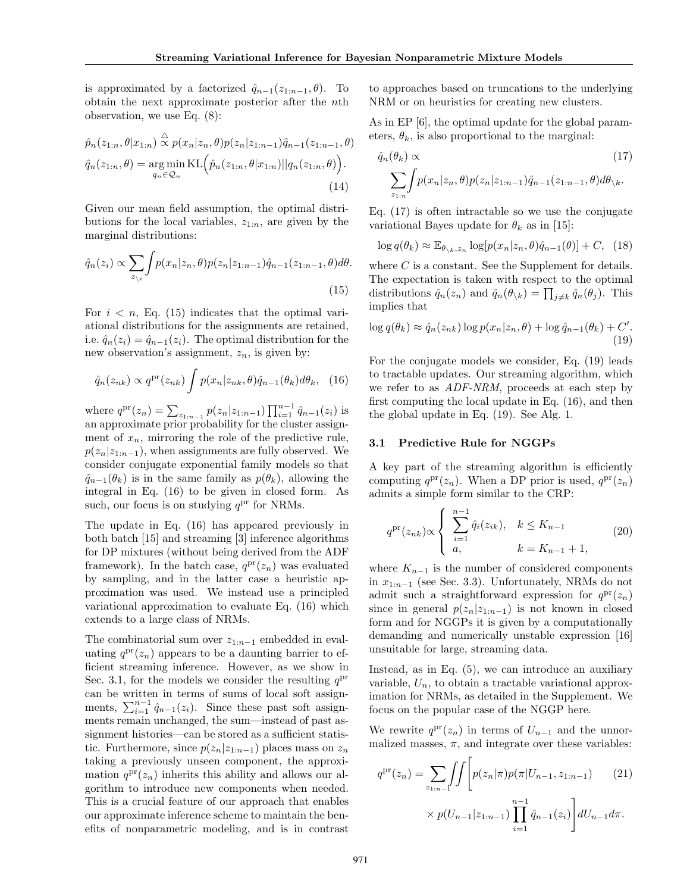is approximated by a factorized  $\hat{q}_{n-1}(z_{1:n-1}, \theta)$ . To obtain the next approximate posterior after the nth observation, we use Eq. (8):

$$
\hat{p}_n(z_{1:n}, \theta | x_{1:n}) \stackrel{\triangle}{\propto} p(x_n | z_n, \theta) p(z_n | z_{1:n-1}) \hat{q}_{n-1}(z_{1:n-1}, \theta)
$$

$$
\hat{q}_n(z_{1:n}, \theta) = \underset{q_n \in \mathcal{Q}_n}{\arg \min} \mathrm{KL} \Big( \hat{p}_n(z_{1:n}, \theta | x_{1:n}) || q_n(z_{1:n}, \theta) \Big). \tag{14}
$$

Given our mean field assumption, the optimal distributions for the local variables,  $z_{1:n}$ , are given by the marginal distributions:

$$
\hat{q}_n(z_i) \propto \sum_{z_{\backslash i}} \int p(x_n|z_n, \theta) p(z_n|z_{1:n-1}) \hat{q}_{n-1}(z_{1:n-1}, \theta) d\theta.
$$
\n(15)

For  $i < n$ , Eq. (15) indicates that the optimal variational distributions for the assignments are retained, i.e.  $\hat{q}_n(z_i) = \hat{q}_{n-1}(z_i)$ . The optimal distribution for the new observation's assignment,  $z_n$ , is given by:

$$
\hat{q}_n(z_{nk}) \propto q^{\text{pr}}(z_{nk}) \int p(x_n|z_{nk}, \theta) \hat{q}_{n-1}(\theta_k) d\theta_k, \quad (16)
$$

where  $q^{\text{pr}}(z_n) = \sum_{z_{1:n-1}} p(z_n | z_{1:n-1}) \prod_{i=1}^{n-1} \hat{q}_{n-1}(z_i)$  is an approximate prior probability for the cluster assignment of  $x_n$ , mirroring the role of the predictive rule,  $p(z_n|z_{1:n-1})$ , when assignments are fully observed. We consider conjugate exponential family models so that  $\hat{q}_{n-1}(\theta_k)$  is in the same family as  $p(\theta_k)$ , allowing the integral in Eq. (16) to be given in closed form. As such, our focus is on studying  $q<sup>pr</sup>$  for NRMs.

The update in Eq. (16) has appeared previously in both batch [15] and streaming [3] inference algorithms for DP mixtures (without being derived from the ADF framework). In the batch case,  $q^{\text{pr}}(z_n)$  was evaluated by sampling, and in the latter case a heuristic approximation was used. We instead use a principled variational approximation to evaluate Eq. (16) which extends to a large class of NRMs.

The combinatorial sum over  $z_{1:n-1}$  embedded in evaluating  $q^{\text{pr}}(z_n)$  appears to be a daunting barrier to efficient streaming inference. However, as we show in Sec. 3.1, for the models we consider the resulting  $q<sup>pr</sup>$ can be written in terms of sums of local soft assignments,  $\sum_{i=1}^{n-1} \hat{q}_{n-1}(z_i)$ . Since these past soft assignments remain unchanged, the sum—instead of past assignment histories—can be stored as a sufficient statistic. Furthermore, since  $p(z_n|z_{1:n-1})$  places mass on  $z_n$ taking a previously unseen component, the approximation  $q^{\text{pr}}(z_n)$  inherits this ability and allows our algorithm to introduce new components when needed. This is a crucial feature of our approach that enables our approximate inference scheme to maintain the benefits of nonparametric modeling, and is in contrast to approaches based on truncations to the underlying NRM or on heuristics for creating new clusters.

As in EP [6], the optimal update for the global parameters,  $\theta_k$ , is also proportional to the marginal:

$$
\hat{q}_n(\theta_k) \propto \qquad (17)
$$
\n
$$
\sum_{z_{1:n}} \int p(x_n|z_n, \theta) p(z_n|z_{1:n-1}) \hat{q}_{n-1}(z_{1:n-1}, \theta) d\theta_{\backslash k}.
$$

Eq. (17) is often intractable so we use the conjugate variational Bayes update for  $\theta_k$  as in [15]:

$$
\log q(\theta_k) \approx \mathbb{E}_{\theta_{\setminus k}, z_n} \log [p(x_n | z_n, \theta) \hat{q}_{n-1}(\theta)] + C, \quad (18)
$$

where  $C$  is a constant. See the Supplement for details. The expectation is taken with respect to the optimal distributions  $\hat{q}_n(z_n)$  and  $\hat{q}_n(\theta_{\setminus k}) = \prod_{j \neq k} \hat{q}_n(\theta_j)$ . This implies that

$$
\log q(\theta_k) \approx \hat{q}_n(z_{nk}) \log p(x_n | z_n, \theta) + \log \hat{q}_{n-1}(\theta_k) + C'.
$$
\n(19)

For the conjugate models we consider, Eq. (19) leads to tractable updates. Our streaming algorithm, which we refer to as ADF-NRM, proceeds at each step by first computing the local update in Eq. (16), and then the global update in Eq. (19). See Alg. 1.

#### 3.1 Predictive Rule for NGGPs

A key part of the streaming algorithm is efficiently computing  $q^{\text{pr}}(z_n)$ . When a DP prior is used,  $q^{\text{pr}}(z_n)$ admits a simple form similar to the CRP:

$$
q^{\text{pr}}(z_{nk}) \propto \begin{cases} \sum_{i=1}^{n-1} \hat{q}_i(z_{ik}), & k \le K_{n-1} \\ a, & k = K_{n-1} + 1, \end{cases}
$$
 (20)

where  $K_{n-1}$  is the number of considered components in x1:n−<sup>1</sup> (see Sec. 3.3). Unfortunately, NRMs do not admit such a straightforward expression for  $q^{\text{pr}}(z_n)$ since in general  $p(z_n|z_{1:n-1})$  is not known in closed form and for NGGPs it is given by a computationally demanding and numerically unstable expression [16] unsuitable for large, streaming data.

Instead, as in Eq. (5), we can introduce an auxiliary variable,  $U_n$ , to obtain a tractable variational approximation for NRMs, as detailed in the Supplement. We focus on the popular case of the NGGP here.

We rewrite  $q^{\text{pr}}(z_n)$  in terms of  $U_{n-1}$  and the unnormalized masses,  $\pi$ , and integrate over these variables:

$$
q^{\text{pr}}(z_n) = \sum_{z_{1:n-1}} \int \int \left[ p(z_n | \pi) p(\pi | U_{n-1}, z_{1:n-1}) \right] (21)
$$

$$
\times p(U_{n-1} | z_{1:n-1}) \prod_{i=1}^{n-1} \hat{q}_{n-1}(z_i) \right] dU_{n-1} d\pi.
$$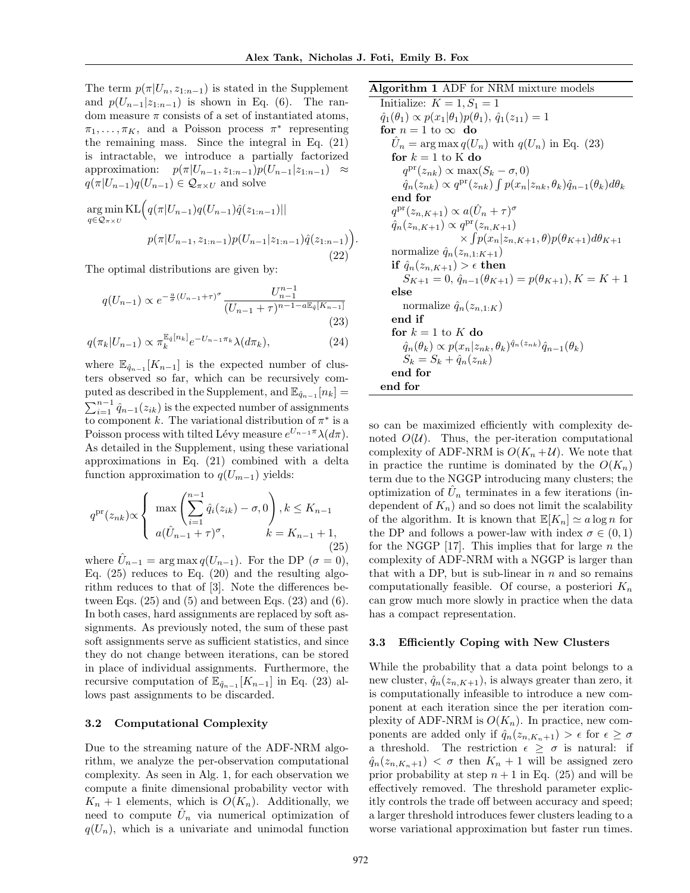.

The term  $p(\pi|U_n, z_{1:n-1})$  is stated in the Supplement and  $p(U_{n-1}|z_{1:n-1})$  is shown in Eq. (6). The random measure  $\pi$  consists of a set of instantiated atoms,  $\pi_1, \ldots, \pi_K$ , and a Poisson process  $\pi^*$  representing the remaining mass. Since the integral in Eq. (21) is intractable, we introduce a partially factorized approximation:  $p(\pi|U_{n-1}, z_{1:n-1})p(U_{n-1}|z_{1:n-1}) \approx$  $q(\pi|U_{n-1})q(U_{n-1}) \in \mathcal{Q}_{\pi \times U}$  and solve

$$
\underset{q \in \mathcal{Q}_{\pi \times U}}{\arg \min }\text{KL}\Big(q(\pi|U_{n-1})q(U_{n-1})\hat{q}(z_{1:n-1})||
$$

$$
p(\pi|U_{n-1}, z_{1:n-1})p(U_{n-1}|z_{1:n-1})\hat{q}(z_{1:n-1})\n \tag{22}
$$

The optimal distributions are given by:

$$
q(U_{n-1}) \propto e^{-\frac{a}{\sigma}(U_{n-1}+\tau)^{\sigma}} \frac{U_{n-1}^{n-1}}{(U_{n-1}+\tau)^{n-1-a\mathbb{E}_{\hat{q}}[K_{n-1}]}}
$$
\n(23)

$$
q(\pi_k|U_{n-1}) \propto \pi_k^{\mathbb{E}_{\hat{q}}[n_k]} e^{-U_{n-1}\pi_k} \lambda(d\pi_k),
$$
\n(24)

where  $\mathbb{E}_{\hat{q}_{n-1}}[K_{n-1}]$  is the expected number of clusters observed so far, which can be recursively computed as described in the Supplement, and  $\mathbb{E}_{\hat{q}_{n-1}}[n_k] =$  $\sum_{i=1}^{n-1} \hat{q}_{n-1}(z_{ik})$  is the expected number of assignments to component k. The variational distribution of  $\pi^*$  is a Poisson process with tilted Lévy measure  $e^{U_{n-1}\pi}\lambda(d\pi)$ . As detailed in the Supplement, using these variational approximations in Eq. (21) combined with a delta function approximation to  $q(U_{m-1})$  yields:

$$
q^{\text{pr}}(z_{nk}) \propto \begin{cases} \max \left( \sum_{i=1}^{n-1} \hat{q}_i(z_{ik}) - \sigma, 0 \right), k \le K_{n-1} \\ a(\hat{U}_{n-1} + \tau)^{\sigma}, & k = K_{n-1} + 1, \end{cases}
$$
(25)

where  $\hat{U}_{n-1} = \arg \max q(U_{n-1})$ . For the DP  $(\sigma = 0)$ , Eq.  $(25)$  reduces to Eq.  $(20)$  and the resulting algorithm reduces to that of [3]. Note the differences between Eqs.  $(25)$  and  $(5)$  and between Eqs.  $(23)$  and  $(6)$ . In both cases, hard assignments are replaced by soft assignments. As previously noted, the sum of these past soft assignments serve as sufficient statistics, and since they do not change between iterations, can be stored in place of individual assignments. Furthermore, the recursive computation of  $\mathbb{E}_{\hat{q}_{n-1}}[K_{n-1}]$  in Eq. (23) allows past assignments to be discarded.

# 3.2 Computational Complexity

Due to the streaming nature of the ADF-NRM algorithm, we analyze the per-observation computational complexity. As seen in Alg. 1, for each observation we compute a finite dimensional probability vector with  $K_n + 1$  elements, which is  $O(K_n)$ . Additionally, we need to compute  $\hat{U}_n$  via numerical optimization of  $q(U_n)$ , which is a univariate and unimodal function

#### Algorithm 1 ADF for NRM mixture models

Initialize:  $K = 1, S_1 = 1$  $\hat{q}_1(\theta_1) \propto p(x_1|\theta_1)p(\theta_1), \, \hat{q}_1(z_{11}) = 1$ for  $n = 1$  to  $\infty$  do  $\hat{U}_n = \arg \max q(U_n)$  with  $q(U_n)$  in Eq. (23) for  $k = 1$  to K do  $q^{\text{pr}}(z_{nk}) \propto \max(S_k - \sigma, 0)$  $\hat{q}_n(z_{nk}) \propto q^{\mathrm{pr}}(z_{nk}) \int p(x_n|z_{nk},\theta_k) \hat{q}_{n-1}(\theta_k) d\theta_k$ end for  $q^{\text{pr}}(z_{n,K+1}) \propto a(\hat{U}_n + \tau)^{\sigma}$  $\hat{q}_n(z_{n,K+1}) \propto q^{\text{pr}}(z_{n,K+1})$  $\times \int p(x_n|z_{n,K+1},\theta)p(\theta_{K+1})d\theta_{K+1}$ normalize  $\hat{q}_n(z_{n,1:K+1})$ if  $\hat{q}_n(z_{n,K+1}) > \epsilon$  then  $S_{K+1} = 0$ ,  $\hat{q}_{n-1}(\theta_{K+1}) = p(\theta_{K+1}), K = K+1$ else normalize  $\hat{q}_n(z_{n,1:K})$ end if for  $k = 1$  to K do  $\hat{q}_n(\theta_k) \propto p(x_n | z_{nk}, \theta_k)^{\hat{q}_n(z_{nk})} \hat{q}_{n-1}(\theta_k)$  $S_k = S_k + \hat{q}_n(z_{nk})$ end for end for

so can be maximized efficiently with complexity denoted  $O(U)$ . Thus, the per-iteration computational complexity of ADF-NRM is  $O(K_n + \mathcal{U})$ . We note that in practice the runtime is dominated by the  $O(K_n)$ term due to the NGGP introducing many clusters; the optimization of  $\hat{U}_n$  terminates in a few iterations (independent of  $K_n$ ) and so does not limit the scalability of the algorithm. It is known that  $\mathbb{E}[K_n] \simeq a \log n$  for the DP and follows a power-law with index  $\sigma \in (0,1)$ for the NGGP  $[17]$ . This implies that for large *n* the complexity of ADF-NRM with a NGGP is larger than that with a DP, but is sub-linear in  $n$  and so remains computationally feasible. Of course, a posteriori  $K_n$ can grow much more slowly in practice when the data has a compact representation.

#### 3.3 Efficiently Coping with New Clusters

While the probability that a data point belongs to a new cluster,  $\hat{q}_n(z_{n,K+1})$ , is always greater than zero, it is computationally infeasible to introduce a new component at each iteration since the per iteration complexity of ADF-NRM is  $O(K_n)$ . In practice, new components are added only if  $\hat{q}_n(z_{n,K_n+1}) > \epsilon$  for  $\epsilon \geq \sigma$ a threshold. The restriction  $\epsilon \geq \sigma$  is natural: if  $\hat{q}_n(z_{n,K_n+1}) < \sigma$  then  $K_n + 1$  will be assigned zero prior probability at step  $n + 1$  in Eq. (25) and will be effectively removed. The threshold parameter explicitly controls the trade off between accuracy and speed; a larger threshold introduces fewer clusters leading to a worse variational approximation but faster run times.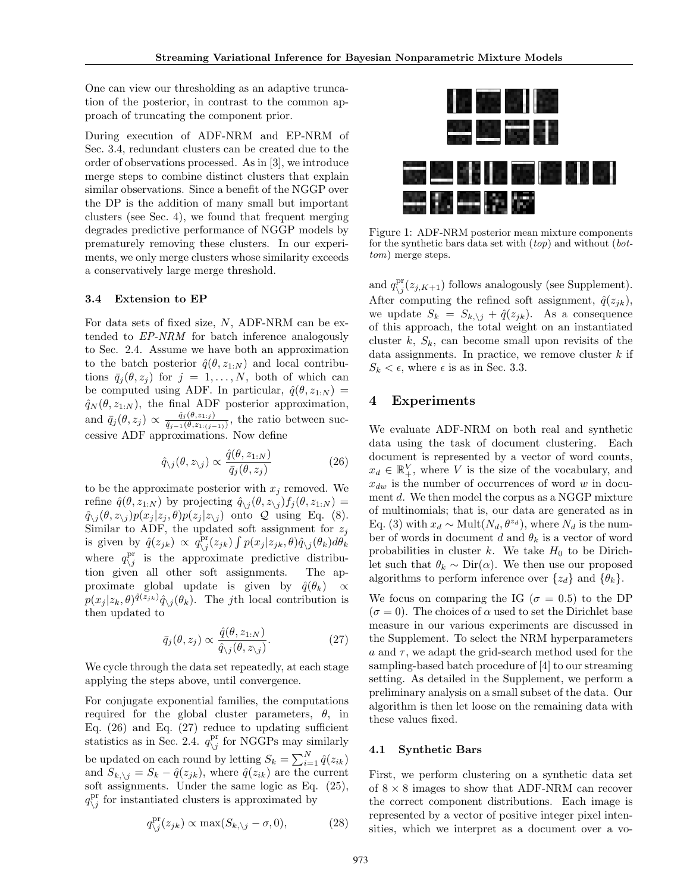One can view our thresholding as an adaptive truncation of the posterior, in contrast to the common approach of truncating the component prior.

During execution of ADF-NRM and EP-NRM of Sec. 3.4, redundant clusters can be created due to the order of observations processed. As in [3], we introduce merge steps to combine distinct clusters that explain similar observations. Since a benefit of the NGGP over the DP is the addition of many small but important clusters (see Sec. 4), we found that frequent merging degrades predictive performance of NGGP models by prematurely removing these clusters. In our experiments, we only merge clusters whose similarity exceeds a conservatively large merge threshold.

### 3.4 Extension to EP

For data sets of fixed size, N, ADF-NRM can be extended to EP-NRM for batch inference analogously to Sec. 2.4. Assume we have both an approximation to the batch posterior  $\hat{q}(\theta, z_{1:N})$  and local contributions  $\bar{q}_i(\theta, z_i)$  for  $j = 1, \ldots, N$ , both of which can be computed using ADF. In particular,  $\hat{q}(\theta, z_{1:N})$  =  $\hat{q}_N(\theta, z_{1:N})$ , the final ADF posterior approximation, and  $\bar{q}_j(\theta, z_j) \propto \frac{\hat{q}_j(\theta, z_{1:j})}{\hat{q}_{j-1}(\theta, z_{1:j})}$  $\frac{q_j(\theta,z_{1:j})}{\hat{q}_{j-1}(\theta,z_{1:(j-1)})}$ , the ratio between successive ADF approximations. Now define

$$
\hat{q}_{\setminus j}(\theta, z_{\setminus j}) \propto \frac{\hat{q}(\theta, z_{1:N})}{\bar{q}_j(\theta, z_j)}
$$
(26)

to be the approximate posterior with  $x_j$  removed. We refine  $\hat{q}(\theta, z_{1:N})$  by projecting  $\hat{q}_{\setminus i}(\theta, z_{\setminus i})f_j(\theta, z_{1:N}) =$  $\hat{q}_{\setminus i}(\theta, z_{\setminus i})p(x_j |z_j, \theta)p(z_j |z_{\setminus i})$  onto Q using Eq. (8). Similar to ADF, the updated soft assignment for  $z_j$ is given by  $\hat{q}(z_{jk}) \propto q^{\text{pr}}_{\backslash j}(z_{jk}) \int p(x_j | z_{jk}, \theta) \hat{q}_{\backslash j}(\theta_k) d\theta_k$ where  $q_{\backslash j}^{\text{pr}}$  is the approximate predictive distribution given all other soft assignments. The approximate global update is given by  $\hat{q}(\theta_k) \propto$  $p(x_j | z_k, \theta)^{\hat{q}(z_{jk})} \hat{q}_{\setminus j}(\theta_k)$ . The *j*th local contribution is then updated to

$$
\bar{q}_j(\theta, z_j) \propto \frac{\hat{q}(\theta, z_{1:N})}{\hat{q}_{\setminus j}(\theta, z_{\setminus j})}.\tag{27}
$$

We cycle through the data set repeatedly, at each stage applying the steps above, until convergence.

For conjugate exponential families, the computations required for the global cluster parameters,  $\theta$ , in Eq.  $(26)$  and Eq.  $(27)$  reduce to updating sufficient statistics as in Sec. 2.4.  $q_{\backslash j}^{\text{pr}}$  for NGGPs may similarly be updated on each round by letting  $S_k = \sum_{i=1}^N \hat{q}(z_{ik})$ and  $S_{k,\setminus j} = S_k - \hat{q}(z_{jk})$ , where  $\hat{q}(z_{ik})$  are the current soft assignments. Under the same logic as Eq. (25),  $q_{\backslash j}^{\rm pr}$  for instantiated clusters is approximated by

$$
q_{\backslash j}^{\text{pr}}(z_{jk}) \propto \max(S_{k,\backslash j} - \sigma, 0), \tag{28}
$$



Figure 1: ADF-NRM posterior mean mixture components for the synthetic bars data set with  $(top)$  and without  $(bot$ tom) merge steps.

and  $q_{\backslash j}^{\text{pr}}(z_{j,K+1})$  follows analogously (see Supplement). After computing the refined soft assignment,  $\hat{q}(z_{jk})$ , we update  $S_k = S_{k,\setminus j} + \hat{q}(z_{jk})$ . As a consequence of this approach, the total weight on an instantiated cluster  $k$ ,  $S_k$ , can become small upon revisits of the data assignments. In practice, we remove cluster  $k$  if  $S_k < \epsilon$ , where  $\epsilon$  is as in Sec. 3.3.

# 4 Experiments

We evaluate ADF-NRM on both real and synthetic data using the task of document clustering. Each document is represented by a vector of word counts,  $x_d \in \mathbb{R}_+^V$ , where V is the size of the vocabulary, and  $x_{dw}$  is the number of occurrences of word w in document d. We then model the corpus as a NGGP mixture of multinomials; that is, our data are generated as in Eq. (3) with  $x_d \sim \text{Mult}(N_d, \theta^{z_d})$ , where  $N_d$  is the number of words in document d and  $\theta_k$  is a vector of word probabilities in cluster k. We take  $H_0$  to be Dirichlet such that  $\theta_k \sim \text{Dir}(\alpha)$ . We then use our proposed algorithms to perform inference over  $\{z_d\}$  and  $\{\theta_k\}.$ 

We focus on comparing the IG ( $\sigma = 0.5$ ) to the DP  $(\sigma = 0)$ . The choices of  $\alpha$  used to set the Dirichlet base measure in our various experiments are discussed in the Supplement. To select the NRM hyperparameters a and  $\tau$ , we adapt the grid-search method used for the sampling-based batch procedure of [4] to our streaming setting. As detailed in the Supplement, we perform a preliminary analysis on a small subset of the data. Our algorithm is then let loose on the remaining data with these values fixed.

### 4.1 Synthetic Bars

First, we perform clustering on a synthetic data set of  $8 \times 8$  images to show that ADF-NRM can recover the correct component distributions. Each image is represented by a vector of positive integer pixel intensities, which we interpret as a document over a vo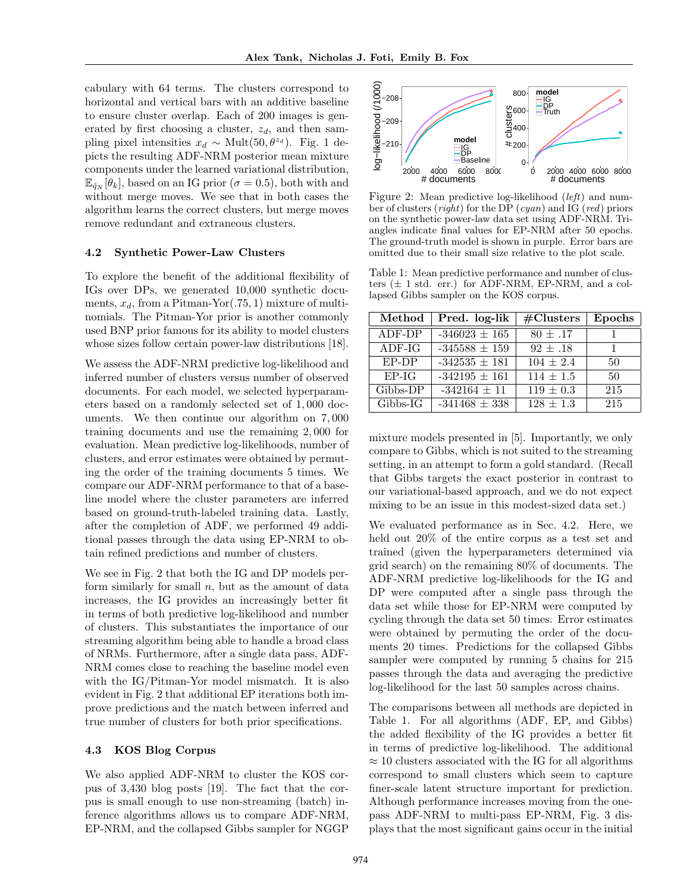cabulary with 64 terms. The clusters correspond to horizontal and vertical bars with an additive baseline to ensure cluster overlap. Each of 200 images is generated by first choosing a cluster,  $z_d$ , and then sampling pixel intensities  $x_d \sim \text{Mult}(50, \theta^{z_d})$ . Fig. 1 depicts the resulting ADF-NRM posterior mean mixture components under the learned variational distribution,  $\mathbb{E}_{\hat{q}_N}[\theta_k]$ , based on an IG prior  $(\sigma = 0.5)$ , both with and without merge moves. We see that in both cases the algorithm learns the correct clusters, but merge moves remove redundant and extraneous clusters.

### 4.2 Synthetic Power-Law Clusters

To explore the benefit of the additional flexibility of IGs over DPs, we generated 10,000 synthetic documents,  $x_d$ , from a Pitman-Yor(.75, 1) mixture of multinomials. The Pitman-Yor prior is another commonly used BNP prior famous for its ability to model clusters whose sizes follow certain power-law distributions [18].

We assess the ADF-NRM predictive log-likelihood and inferred number of clusters versus number of observed documents. For each model, we selected hyperparameters based on a randomly selected set of 1, 000 documents. We then continue our algorithm on 7, 000 training documents and use the remaining 2, 000 for evaluation. Mean predictive log-likelihoods, number of clusters, and error estimates were obtained by permuting the order of the training documents 5 times. We compare our ADF-NRM performance to that of a baseline model where the cluster parameters are inferred based on ground-truth-labeled training data. Lastly, after the completion of ADF, we performed 49 additional passes through the data using EP-NRM to obtain refined predictions and number of clusters.

We see in Fig. 2 that both the IG and DP models perform similarly for small  $n$ , but as the amount of data increases, the IG provides an increasingly better fit in terms of both predictive log-likelihood and number of clusters. This substantiates the importance of our streaming algorithm being able to handle a broad class of NRMs. Furthermore, after a single data pass, ADF-NRM comes close to reaching the baseline model even with the IG/Pitman-Yor model mismatch. It is also evident in Fig. 2 that additional EP iterations both improve predictions and the match between inferred and true number of clusters for both prior specifications.

### 4.3 KOS Blog Corpus

We also applied ADF-NRM to cluster the KOS corpus of 3,430 blog posts [19]. The fact that the corpus is small enough to use non-streaming (batch) inference algorithms allows us to compare ADF-NRM, EP-NRM, and the collapsed Gibbs sampler for NGGP



Figure 2: Mean predictive log-likelihood (left) and number of clusters (*right*) for the DP (*cyan*) and IG (*red*) priors on the synthetic power-law data set using ADF-NRM. Triangles indicate final values for EP-NRM after 50 epochs. The ground-truth model is shown in purple. Error bars are omitted due to their small size relative to the plot scale.

Table 1: Mean predictive performance and number of clusters  $(\pm 1 \text{ std. err.})$  for ADF-NRM, EP-NRM, and a collapsed Gibbs sampler on the KOS corpus.

| Method   | Pred. log-lik     | $\#\text{Clusters}$ | Epochs |
|----------|-------------------|---------------------|--------|
| ADF-DP   | $-346023 \pm 165$ | $80 \pm .17$        |        |
| $ADF-IG$ | $-345588 \pm 159$ | $92 \pm .18$        |        |
| $EP-DP$  | $-342535 \pm 181$ | $104 \pm 2.4$       | 50     |
| $EP-IG$  | $-342195 \pm 161$ | $114 \pm 1.5$       | 50     |
| Gibbs-DP | $-342164 \pm 11$  | $119 \pm 0.3$       | 215    |
| Gibbs-IG | $-341468 \pm 338$ | $128 \pm 1.3$       | 215    |

mixture models presented in [5]. Importantly, we only compare to Gibbs, which is not suited to the streaming setting, in an attempt to form a gold standard. (Recall that Gibbs targets the exact posterior in contrast to our variational-based approach, and we do not expect mixing to be an issue in this modest-sized data set.)

We evaluated performance as in Sec. 4.2. Here, we held out 20% of the entire corpus as a test set and trained (given the hyperparameters determined via grid search) on the remaining 80% of documents. The ADF-NRM predictive log-likelihoods for the IG and DP were computed after a single pass through the data set while those for EP-NRM were computed by cycling through the data set 50 times. Error estimates were obtained by permuting the order of the documents 20 times. Predictions for the collapsed Gibbs sampler were computed by running 5 chains for 215 passes through the data and averaging the predictive log-likelihood for the last 50 samples across chains.

The comparisons between all methods are depicted in Table 1. For all algorithms (ADF, EP, and Gibbs) the added flexibility of the IG provides a better fit in terms of predictive log-likelihood. The additional  $\approx$  10 clusters associated with the IG for all algorithms correspond to small clusters which seem to capture finer-scale latent structure important for prediction. Although performance increases moving from the onepass ADF-NRM to multi-pass EP-NRM, Fig. 3 displays that the most significant gains occur in the initial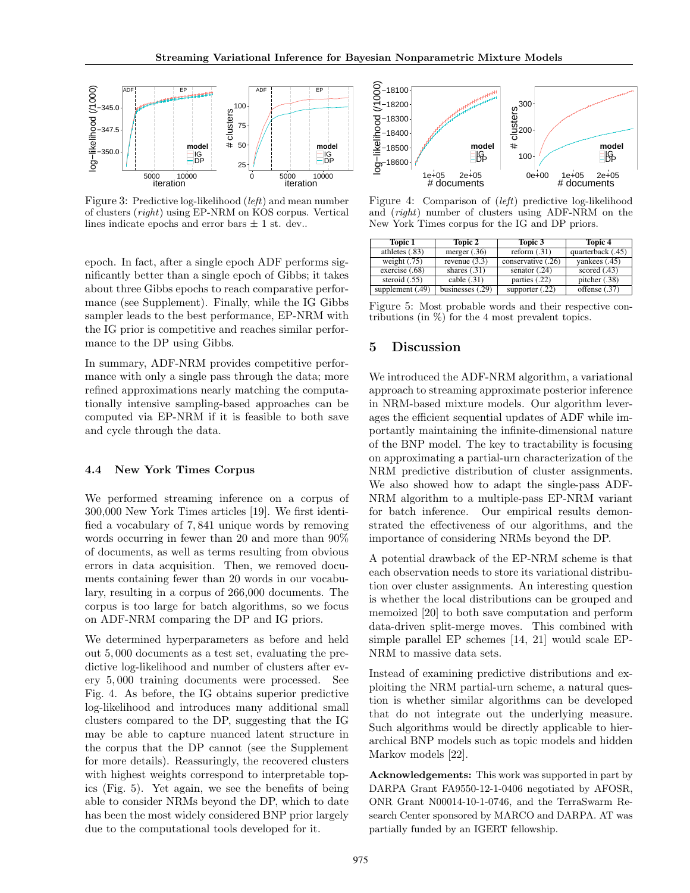

Figure 3: Predictive log-likelihood (left) and mean number of clusters (right) using EP-NRM on KOS corpus. Vertical **295** lines indicate epochs and error bars  $\pm$  1 st. dev..

epoch. In fact, after a single epoch ADF performs significantly better than a single epoch of Gibbs; it takes **301** about three Gibbs epochs to reach comparative perfor-**303** mance (see Supplement). Finally, while the IG Gibbs sampler leads to the best performance, EP-NRM with the IG prior is competitive and reaches similar perfor-**307** mance to the DP using Gibbs. **302 306**

In summary, ADF-NRM provides competitive perfor-**310** mance with only a single pass through the data; more **312** refined approximations nearly matching the computa-**313** tionally intensive sampling-based approaches can be computed via EP-NRM if it is feasible to both save **316** and cycle through the data. **311 315**

# 4.4 New York Times Corpus

We performed streaming inference on a corpus of **324** 300,000 New York Times articles [19]. We first identi-**325** fied a vocabulary of 7, 841 unique words by removing **327** words occurring in fewer than 20 and more than 90% **328** of documents, as well as terms resulting from obvious errors in data acquisition. Then, we removed documents containing fewer than 20 words in our vocabulary, resulting in a corpus of 266,000 documents. The corpus is too large for batch algorithms, so we focus on ADF-NRM comparing the DP and IG priors. **326**

We determined hyperparameters as before and held out 5, 000 documents as a test set, evaluating the predictive log-likelihood and number of clusters after every 5, 000 training documents were processed. See Fig. 4. As before, the IG obtains superior predictive log-likelihood and introduces many additional small clusters compared to the DP, suggesting that the IG may be able to capture nuanced latent structure in the corpus that the DP cannot (see the Supplement for more details). Reassuringly, the recovered clusters with highest weights correspond to interpretable topics (Fig. 5). Yet again, we see the benefits of being able to consider NRMs beyond the DP, which to date has been the most widely considered BNP prior largely due to the computational tools developed for it.



Figure 4: Comparison of (*left*) predictive log-likelihood and (right) number of clusters using ADF-NRM on the New York Times corpus for the IG and DP priors.

| Topic 1            | Topic 2            | Topic 3            | Topic 4           |
|--------------------|--------------------|--------------------|-------------------|
| athletes (.83)     | merger $(.36)$     | reform $(.31)$     | quarterback (.45) |
| weight $(.75)$     | revenue $(3.3)$    | conservative (.26) | vankees $(.45)$   |
| exercise (.68)     | shares $(.31)$     | senator $(.24)$    | scored $(.43)$    |
| steroid $(.55)$    | cable $(.31)$      | parties $(.22)$    | pitcher $(.38)$   |
| supplement $(.49)$ | businesses $(.29)$ | supporter $(.22)$  | offense (.37)     |

Figure 5: Most probable words and their respective contributions (in %) for the 4 most prevalent topics.

# 5 Discussion

strated the effectiveness of our algorithms, and the We introduced the ADF-NRM algorithm, a variational approach to streaming approximate posterior inference in NRM-based mixture models. Our algorithm leverages the efficient sequential updates of ADF while importantly maintaining the infinite-dimensional nature of the BNP model. The key to tractability is focusing on approximating a partial-urn characterization of the NRM predictive distribution of cluster assignments. We also showed how to adapt the single-pass ADF-NRM algorithm to a multiple-pass EP-NRM variant for batch inference. Our empirical results demonimportance of considering NRMs beyond the DP.

7 A potential drawback of the EP-NRM scheme is that each observation needs to store its variational distribution over cluster assignments. An interesting question is whether the local distributions can be grouped and memoized [20] to both save computation and perform data-driven split-merge moves. This combined with simple parallel EP schemes [14, 21] would scale EP-NRM to massive data sets.

Instead of examining predictive distributions and exploiting the NRM partial-urn scheme, a natural question is whether similar algorithms can be developed that do not integrate out the underlying measure. Such algorithms would be directly applicable to hierarchical BNP models such as topic models and hidden Markov models [22].

Acknowledgements: This work was supported in part by DARPA Grant FA9550-12-1-0406 negotiated by AFOSR, ONR Grant N00014-10-1-0746, and the TerraSwarm Research Center sponsored by MARCO and DARPA. AT was partially funded by an IGERT fellowship.